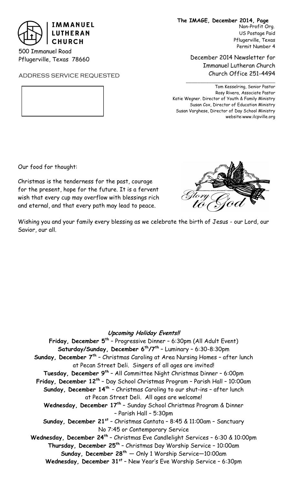

500 Immanuel Road Pflugerville, Texas 78660

ADDRESS SERVICE REQUESTED

**The IMAGE, December 2014, Page**  Non-Profit Org.

US Postage Paid Pflugerville, Texas Permit Number 4

December 2014 Newsletter for Immanuel Lutheran Church Church Office 251-4494

Tom Kesselring, Senior Pastor Rosy Rivera, Associate Pastor Katie Wegner. Director of Youth & Family Ministry Susan Cox, Director of Education Ministry Susan Varghese, Director of Day School Ministry website:www.ilcpville.org

Our food for thought:

Christmas is the tenderness for the past, courage for the present, hope for the future. It is a fervent wish that every cup may overflow with blessings rich and eternal, and that every path may lead to peace.



Wishing you and your family every blessing as we celebrate the birth of Jesus - our Lord, our Savior, our all.

## **Upcoming Holiday Events!!**

**Friday, December 5th** – Progressive Dinner – 6:30pm (All Adult Event) **Saturday/Sunday, December 6th/7th** – Luminary – 6:30-8:30pm **Sunday, December 7th** – Christmas Caroling at Area Nursing Homes – after lunch at Pecan Street Deli. Singers of all ages are invited! **Tuesday, December 9th** – All Committee Night Christmas Dinner – 6:00pm **Friday, December 12th** – Day School Christmas Program – Parish Hall – 10:00am **Sunday, December 14th** – Christmas Caroling to our shut-ins – after lunch at Pecan Street Deli. All ages are welcome! **Wednesday, December 17th** – Sunday School Christmas Program & Dinner – Parish Hall – 5:30pm **Sunday, December 21st** – Christmas Cantata – 8:45 & 11:00am – Sanctuary No 7:45 or Contemporary Service **Wednesday, December 24th** – Christmas Eve Candlelight Services – 6:30 & 10:00pm **Thursday, December 25th** – Christmas Day Worship Service – 10:00am **Sunday, December 28th** — Only 1 Worship Service—10:00am **Wednesday, December 31<sup>st</sup> -** New Year's Eve Worship Service - 6:30pm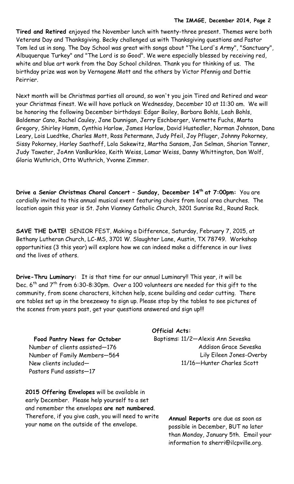**Tired and Retired** enjoyed the November lunch with twenty-three present. Themes were both Veterans Day and Thanksgiving. Becky challenged us with Thanksgiving questions and Pastor Tom led us in song. The Day School was great with songs about "The Lord's Army", "Sanctuary", Albuquerque Turkey" and "The Lord is so Good". We were especially blessed by receiving red, white and blue art work from the Day School children. Thank you for thinking of us. The birthday prize was won by Vernagene Mott and the others by Victor Pfennig and Dottie Peirrier.

Next month will be Christmas parties all around, so won't you join Tired and Retired and wear your Christmas finest. We will have potluck on Wednesday, December 10 at 11:30 am. We will be honoring the following December birthdays: Edgar Bailey, Barbara Bohls, Leah Bohls, Baldemar Cano, Rachel Cauley, Jane Dunnigan, Jerry Eschberger, Vernette Fuchs, Marta Gregory, Shirley Hamm, Cynthia Harlow, James Harlow, David Hustedler, Norman Johnson, Dana Leary, Lois Luedtke, Charles Mott, Ross Petermann, Judy Pfeil, Joy Pfluger, Johnny Pokorney, Sissy Pokorney, Harley Saathoff, Lola Sakewitz, Martha Sansom, Jan Selman, Sharion Tanner, Judy Tawater, JoAnn VanBurkleo, Keith Weiss, Lamar Weiss, Danny Whittington, Don Wolf, Gloria Wuthrich, Otto Wuthrich, Yvonne Zimmer.

**Drive a Senior Christmas Choral Concert – Sunday, December 14th at 7:00pm:** You are cordially invited to this annual musical event featuring choirs from local area churches. The location again this year is St. John Vianney Catholic Church, 3201 Sunrise Rd., Round Rock.

**SAVE THE DATE!** SENIOR FEST, Making a Difference, Saturday, February 7, 2015, at Bethany Lutheran Church, LC-MS, 3701 W. Slaughter Lane, Austin, TX 78749. Workshop opportunities (3 this year) will explore how we can indeed make a difference in our lives and the lives of others.

**Drive-Thru Luminary:** It is that time for our annual Luminary!! This year, it will be Dec.  $6^{th}$  and  $7^{th}$  from 6:30-8:30pm. Over a 100 volunteers are needed for this gift to the community, from scene characters, kitchen help, scene building and cedar cutting. There are tables set up in the breezeway to sign up. Please stop by the tables to see pictures of the scenes from years past, get your questions answered and sign up!!!

# **Food Pantry News for October**

Number of clients assisted—176 Number of Family Members—564 New clients included— Pastors Fund assists—17

**2015 Offering Envelopes** will be available in early December. Please help yourself to a set and remember the envelopes **are not numbered**. Therefore, if you give cash, you will need to write your name on the outside of the envelope.

## **Official Acts:**

Baptisms: 11/2—Alexis Ann Seveska Addison Grace Seveska Lily Eileen Jones-Overby 11/16—Hunter Charles Scott

> **Annual Reports** are due as soon as possible in December, BUT no later than Monday, January 5th. Email your information to sherri@ilcpville.org.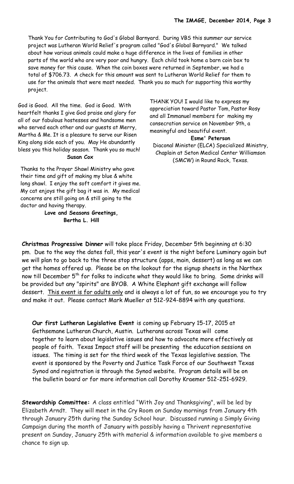Thank You for Contributing to God's Global Barnyard. During VBS this summer our service project was Lutheran World Relief's program called "God's Global Barnyard." We talked about how various animals could make a huge difference in the lives of families in other parts of the world who are very poor and hungry. Each child took home a barn coin box to save money for this cause. When the coin boxes were returned in September, we had a total of \$706.73. A check for this amount was sent to Lutheran World Relief for them to use for the animals that were most needed. Thank you so much for supporting this worthy project.

God is Good. All the time. God is Good. With heartfelt thanks I give God praise and glory for all of our fabulous hostesses and handsome men who served each other and our guests at Merry, Martha & Me. It is a pleasure to serve our Risen King along side each of you. May He abundantly bless you this holiday season. Thank you so much! **Susan Cox**

Thanks to the Prayer Shawl Ministry who gave their time and gift of making my blue & white long shawl. I enjoy the soft comfort it gives me. My cat enjoys the gift bag it was in. My medical concerns are still going on & still going to the doctor and having therapy.

> **Love and Seasons Greetings, Bertha L. Hill**

THANK YOU! I would like to express my appreciation toward Pastor Tom, Pastor Rosy and all Immanuel members for making my consecration service on November 9th, a meaningful and beautiful event. **Esme' Peterson**  Diaconal Minister (ELCA) Specialized Ministry, Chaplain at Seton Medical Center Williamson (SMCW) in Round Rock, Texas.

**Christmas Progressive Dinner** will take place Friday, December 5th beginning at 6:30 pm. Due to the way the dates fall, this year's event is the night before Luminary again but we will plan to go back to the three stop structure (apps, main, dessert) as long as we can get the homes offered up. Please be on the lookout for the signup sheets in the Narthex now till December 5<sup>th</sup> for folks to indicate what they would like to bring. Some drinks will be provided but any "spirits" are BYOB. A White Elephant gift exchange will follow dessert. This event is for adults only and is always a lot of fun, so we encourage you to try and make it out. Please contact Mark Mueller at 512-924-8894 with any questions.

**Our first Lutheran Legislative Event** is coming up February 15-17, 2015 at Gethsemane Lutheran Church, Austin. Lutherans across Texas will come together to learn about legislative issues and how to advocate more effectively as people of faith. Texas Impact staff will be presenting the education sessions on issues. The timing is set for the third week of the Texas legislative session. The event is sponsored by the Poverty and Justice Task Force of our Southwest Texas Synod and registration is through the Synod website. Program details will be on the bulletin board or for more information call Dorothy Kraemer 512-251-6929.

**Stewardship Committee:** A class entitled "With Joy and Thanksgiving", will be led by Elizabeth Arndt. They will meet in the Cry Room on Sunday mornings from January 4th through January 25th during the Sunday School hour. Discussed running a Simply Giving Campaign during the month of January with possibly having a Thrivent representative present on Sunday, January 25th with material & information available to give members a chance to sign up.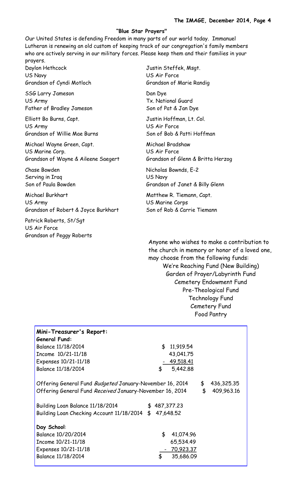#### **"Blue Star Prayers"**

Our United States is defending Freedom in many parts of our world today. Immanuel Lutheran is renewing an old custom of keeping track of our congregation's family members who are actively serving in our military forces. Please keep them and their families in your prayers.

Daylon Hethcock Justin Steffek, Msgt. US Navy US Air Force

SSG Larry Jameson Dan Dye US Army Tx. National Guard Father of Bradley Jameson Son of Pat & Jan Dye

Elliott Bo Burns, Capt. **In the Collection Contract Colection** Justin Hoffman, Lt. Col. US Army US Air Force

Michael Wayne Green, Capt. Michael Bradshaw US Marine Corp. US Air Force Grandson of Wayne & Aileene Saegert Grandson of Glenn & Britta Herzog

Serving in Iraq Serving in Iraq and the US Navy

Michael Burkhart Matthew R. Tiemann, Capt. US Army US Marine Corps Grandson of Robert & Joyce Burkhart Son of Rob & Carrie Tiemann

Patrick Roberts, St/Sgt US Air Force Grandson of Peggy Roberts

Grandson of Cyndi Motloch Grandson of Marie Randig

Grandson of Willie Mae Burns Son of Bob & Patti Hoffman

Chase Bowden Nicholas Bownds, E-2 Son of Paula Bowden Grandson of Janet & Billy Glenn

Anyone who wishes to make a contribution to the church in memory or honor of a loved one, may choose from the following funds: We're Reaching Fund (New Building) Garden of Prayer/Labyrinth Fund Cemetery Endowment Fund Pre-Theological Fund Technology Fund Cemetery Fund Food Pantry

| Mini-Treasurer's Report:                                 |                  |
|----------------------------------------------------------|------------------|
| <b>General Fund:</b>                                     |                  |
| Balance 11/18/2014                                       | \$11,919.54      |
| Income $10/21-11/18$                                     | 43,041.75        |
| Expenses 10/21-11/18                                     | 49,518.41        |
| Balance 11/18/2014                                       | 5,442.88<br>\$   |
|                                                          |                  |
| Offering General Fund Budgeted January-November 16, 2014 | 436,325.35<br>\$ |
| Offering General Fund Received January-November 16, 2014 | \$<br>409,963.16 |
|                                                          |                  |
| Building Loan Balance 11/18/2014                         | 487,377.23<br>\$ |
| Building Loan Checking Account 11/18/2014 \$             | 47,648.52        |
|                                                          |                  |
| Day School:                                              |                  |
| Balance 10/20/2014                                       | \$<br>41,074.96  |
| Income $10/21 - 11/18$                                   | 65,534.49        |
| Expenses 10/21-11/18                                     | 70,923.37        |
| Balance 11/18/2014                                       | \$<br>35,686.09  |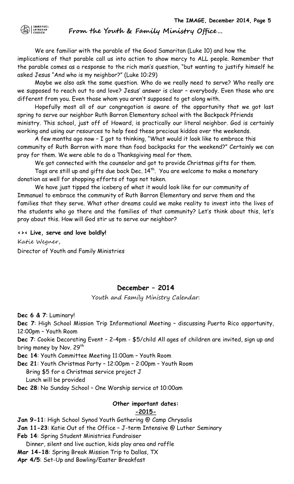$\bigoplus$   $\bigcup_{\text{Lipineram}}$ 

**From the Youth & Family Ministry Office…**

We are familiar with the parable of the Good Samaritan (Luke 10) and how the implications of that parable call us into action to show mercy to ALL people. Remember that the parable comes as a response to the rich man's question, "but wanting to justify himself he asked Jesus "And who is my neighbor?" (Luke 10:29)

Maybe we also ask the same question. Who do we really need to serve? Who really are we supposed to reach out to and love? Jesus' answer is clear – everybody. Even those who are different from you. Even those whom you aren't supposed to get along with.

Hopefully most all of our congregation is aware of the opportunity that we got last spring to serve our neighbor Ruth Barron Elementary school with the Backpack Pfriends ministry. This school, just off of Howard, is practically our literal neighbor. God is certainly working and using our resources to help feed these precious kiddos over the weekends.

A few months ago now – I got to thinking, "What would it look like to embrace this community of Ruth Barron with more than food backpacks for the weekend?" Certainly we can pray for them. We were able to do a Thanksgiving meal for them.

We got connected with the counselor and got to provide Christmas gifts for them.

Tags are still up and gifts due back Dec.  $14^{th}$ . You are welcome to make a monetary donation as well for shopping efforts of tags not taken.

We have just tipped the iceberg of what it would look like for our community of Immanuel to embrace the community of Ruth Barron Elementary and serve them and the families that they serve. What other dreams could we make reality to invest into the lives of the students who go there and the families of that community? Let's think about this, let's pray about this. How will God stir us to serve our neighbor?

**<>< Live, serve and love boldly!** Katie Wegner, Director of Youth and Family Ministries

# **December – 2014**

Youth and Family Ministry Calendar:

**Dec 6 & 7**: Luminary!

**Dec 7**: High School Mission Trip Informational Meeting – discussing Puerto Rico opportunity, 12:00pm – Youth Room

**Dec 7**: Cookie Decorating Event – 2-4pm - \$5/child All ages of children are invited, sign up and bring money by Nov. 29<sup>th</sup>

**Dec 14**: Youth Committee Meeting 11:00am – Youth Room

**Dec 21**: Youth Christmas Party – 12:00pm – 2:00pm – Youth Room

Bring \$5 for a Christmas service project J

Lunch will be provided

**Dec 28**: No Sunday School – One Worship service at 10:00am

# **Other important dates:**

# **-2015-**

**Jan 9-11**: High School Synod Youth Gathering @ Camp Chrysalis **Jan 11-23**: Katie Out of the Office – J-term Intensive @ Luther Seminary **Feb 14**: Spring Student Ministries Fundraiser Dinner, silent and live auction, kids play area and raffle **Mar 14-18**: Spring Break Mission Trip to Dallas, TX **Apr 4/5**: Set-Up and Bowling/Easter Breakfast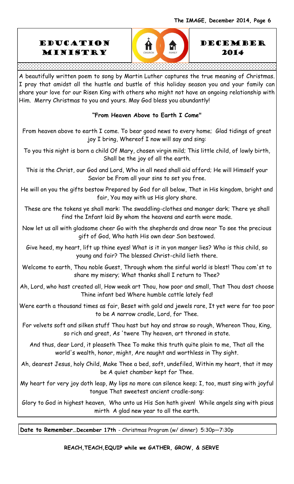





A beautifully written poem to song by Martin Luther captures the true meaning of Christmas. I pray that amidst all the hustle and bustle of this holiday season you and your family can share your love for our Risen King with others who might not have an ongoing relationship with Him. Merry Christmas to you and yours. May God bless you abundantly!

## **"From Heaven Above to Earth I Come"**

From heaven above to earth I come. To bear good news to every home; Glad tidings of great joy I bring, Whereof I now will say and sing:

To you this night is born a child Of Mary, chosen virgin mild; This little child, of lowly birth, Shall be the joy of all the earth.

This is the Christ, our God and Lord, Who in all need shall aid afford; He will Himself your Savior be From all your sins to set you free.

He will on you the gifts bestow Prepared by God for all below, That in His kingdom, bright and fair, You may with us His glory share.

These are the tokens ye shall mark: The swaddling-clothes and manger dark; There ye shall find the Infant laid By whom the heavens and earth were made.

Now let us all with gladsome cheer Go with the shepherds and draw near To see the precious gift of God, Who hath His own dear Son bestowed.

Give heed, my heart, lift up thine eyes! What is it in yon manger lies? Who is this child, so young and fair? The blessed Christ-child lieth there.

Welcome to earth, Thou noble Guest, Through whom the sinful world is blest! Thou com'st to share my misery; What thanks shall I return to Thee?

Ah, Lord, who hast created all, How weak art Thou, how poor and small, That Thou dost choose Thine infant bed Where humble cattle lately fed!

Were earth a thousand times as fair, Beset with gold and jewels rare, It yet were far too poor to be A narrow cradle, Lord, for Thee.

For velvets soft and silken stuff Thou hast but hay and straw so rough, Whereon Thou, King, so rich and great, As 'twere Thy heaven, art throned in state.

And thus, dear Lord, it pleaseth Thee To make this truth quite plain to me, That all the world's wealth, honor, might, Are naught and worthless in Thy sight.

Ah, dearest Jesus, holy Child, Make Thee a bed, soft, undefiled, Within my heart, that it may be A quiet chamber kept for Thee.

My heart for very joy doth leap, My lips no more can silence keep; I, too, must sing with joyful tongue That sweetest ancient cradle-song:

Glory to God in highest heaven, Who unto us His Son hath given! While angels sing with pious mirth A glad new year to all the earth.

**Date to Remember…December 17th** - Christmas Program (w/ dinner) 5:30p—7:30p